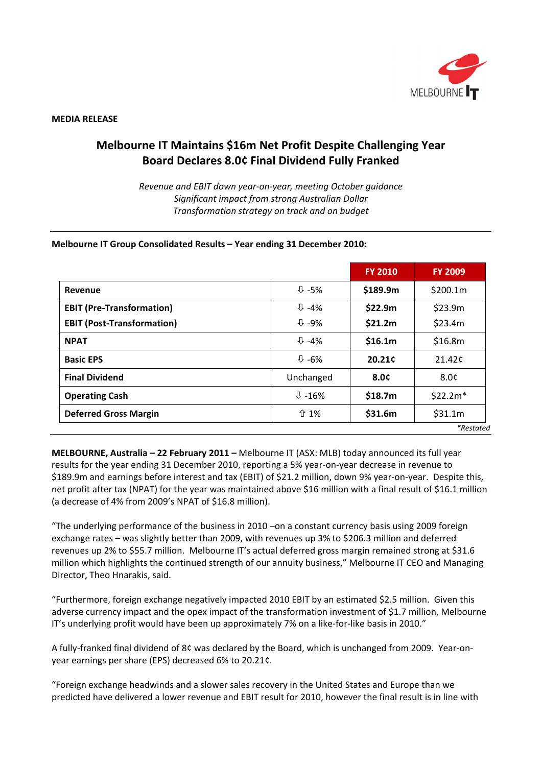

#### **MEDIA RELEASE**

# **Melbourne IT Maintains \$16m Net Profit Despite Challenging Year Board Declares 8.0¢ Final Dividend Fully Franked**

*Revenue and EBIT down year-on-year, meeting October guidance Significant impact from strong Australian Dollar Transformation strategy on track and on budget*

#### **Melbourne IT Group Consolidated Results – Year ending 31 December 2010:**

|                                   |                             | <b>FY 2010</b>     | <b>FY 2009</b>     |
|-----------------------------------|-----------------------------|--------------------|--------------------|
| Revenue                           | $\overline{\psi}$ -5%       | \$189.9m           | \$200.1m           |
| <b>EBIT (Pre-Transformation)</b>  | $\overline{\mathbb{Q}}$ -4% | \$22.9m            | \$23.9m            |
| <b>EBIT (Post-Transformation)</b> | $\overline{v}$ -9%          | \$21.2m            | \$23.4m            |
| <b>NPAT</b>                       | $\overline{\mathbb{Q}}$ -4% | \$16.1m            | \$16.8m            |
| <b>Basic EPS</b>                  | $\overline{v}$ -6%          | 20.21 <sup>c</sup> | 21.42 <sup>c</sup> |
| <b>Final Dividend</b>             | Unchanged                   | 8.0¢               | 8.0¢               |
| <b>Operating Cash</b>             | $\overline{\psi}$ -16%      | \$18.7m            | $$22.2m*$          |
| <b>Deferred Gross Margin</b>      | ↑ 1%                        | \$31.6m            | \$31.1m            |
|                                   |                             |                    | *Restated          |

**MELBOURNE, Australia – 22 February 2011 –** Melbourne IT (ASX: MLB) today announced its full year results for the year ending 31 December 2010, reporting a 5% year-on-year decrease in revenue to \$189.9m and earnings before interest and tax (EBIT) of \$21.2 million, down 9% year-on-year. Despite this, net profit after tax (NPAT) for the year was maintained above \$16 million with a final result of \$16.1 million (a decrease of 4% from 2009's NPAT of \$16.8 million).

"The underlying performance of the business in 2010 –on a constant currency basis using 2009 foreign exchange rates – was slightly better than 2009, with revenues up 3% to \$206.3 million and deferred revenues up 2% to \$55.7 million. Melbourne IT's actual deferred gross margin remained strong at \$31.6 million which highlights the continued strength of our annuity business," Melbourne IT CEO and Managing Director, Theo Hnarakis, said.

"Furthermore, foreign exchange negatively impacted 2010 EBIT by an estimated \$2.5 million. Given this adverse currency impact and the opex impact of the transformation investment of \$1.7 million, Melbourne IT's underlying profit would have been up approximately 7% on a like-for-like basis in 2010."

A fully-franked final dividend of 8¢ was declared by the Board, which is unchanged from 2009. Year-onyear earnings per share (EPS) decreased 6% to 20.21¢.

"Foreign exchange headwinds and a slower sales recovery in the United States and Europe than we predicted have delivered a lower revenue and EBIT result for 2010, however the final result is in line with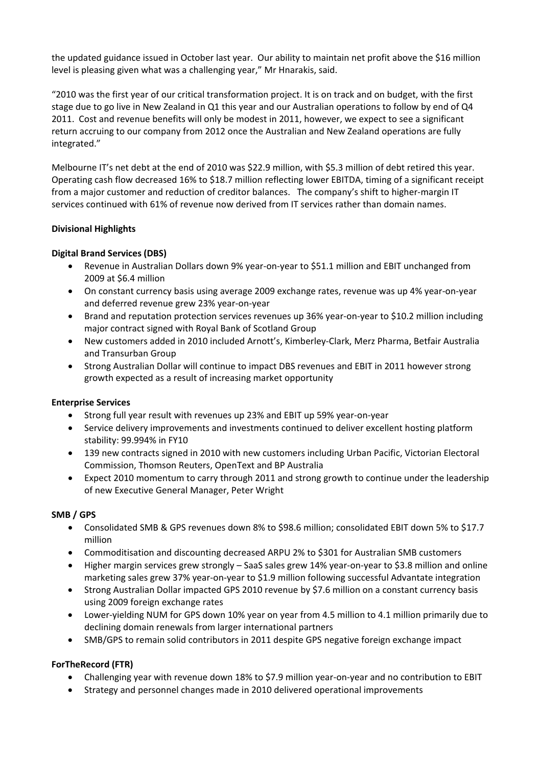the updated guidance issued in October last year. Our ability to maintain net profit above the \$16 million level is pleasing given what was a challenging year," Mr Hnarakis, said.

"2010 was the first year of our critical transformation project. It is on track and on budget, with the first stage due to go live in New Zealand in Q1 this year and our Australian operations to follow by end of Q4 2011. Cost and revenue benefits will only be modest in 2011, however, we expect to see a significant return accruing to our company from 2012 once the Australian and New Zealand operations are fully integrated."

Melbourne IT's net debt at the end of 2010 was \$22.9 million, with \$5.3 million of debt retired this year. Operating cash flow decreased 16% to \$18.7 million reflecting lower EBITDA, timing of a significant receipt from a major customer and reduction of creditor balances. The company's shift to higher-margin IT services continued with 61% of revenue now derived from IT services rather than domain names.

## **Divisional Highlights**

## **Digital Brand Services (DBS)**

- Revenue in Australian Dollars down 9% year-on-year to \$51.1 million and EBIT unchanged from 2009 at \$6.4 million
- On constant currency basis using average 2009 exchange rates, revenue was up 4% year-on-year and deferred revenue grew 23% year-on-year
- Brand and reputation protection services revenues up 36% year-on-year to \$10.2 million including major contract signed with Royal Bank of Scotland Group
- New customers added in 2010 included Arnott's, Kimberley-Clark, Merz Pharma, Betfair Australia and Transurban Group
- Strong Australian Dollar will continue to impact DBS revenues and EBIT in 2011 however strong growth expected as a result of increasing market opportunity

#### **Enterprise Services**

- Strong full year result with revenues up 23% and EBIT up 59% year-on-year
- Service delivery improvements and investments continued to deliver excellent hosting platform stability: 99.994% in FY10
- 139 new contracts signed in 2010 with new customers including Urban Pacific, Victorian Electoral Commission, Thomson Reuters, OpenText and BP Australia
- Expect 2010 momentum to carry through 2011 and strong growth to continue under the leadership of new Executive General Manager, Peter Wright

#### **SMB / GPS**

- Consolidated SMB & GPS revenues down 8% to \$98.6 million; consolidated EBIT down 5% to \$17.7 million
- Commoditisation and discounting decreased ARPU 2% to \$301 for Australian SMB customers
- Higher margin services grew strongly SaaS sales grew 14% year-on-year to \$3.8 million and online marketing sales grew 37% year-on-year to \$1.9 million following successful Advantate integration
- Strong Australian Dollar impacted GPS 2010 revenue by \$7.6 million on a constant currency basis using 2009 foreign exchange rates
- Lower-yielding NUM for GPS down 10% year on year from 4.5 million to 4.1 million primarily due to declining domain renewals from larger international partners
- SMB/GPS to remain solid contributors in 2011 despite GPS negative foreign exchange impact

# **ForTheRecord (FTR)**

- Challenging year with revenue down 18% to \$7.9 million year-on-year and no contribution to EBIT
- Strategy and personnel changes made in 2010 delivered operational improvements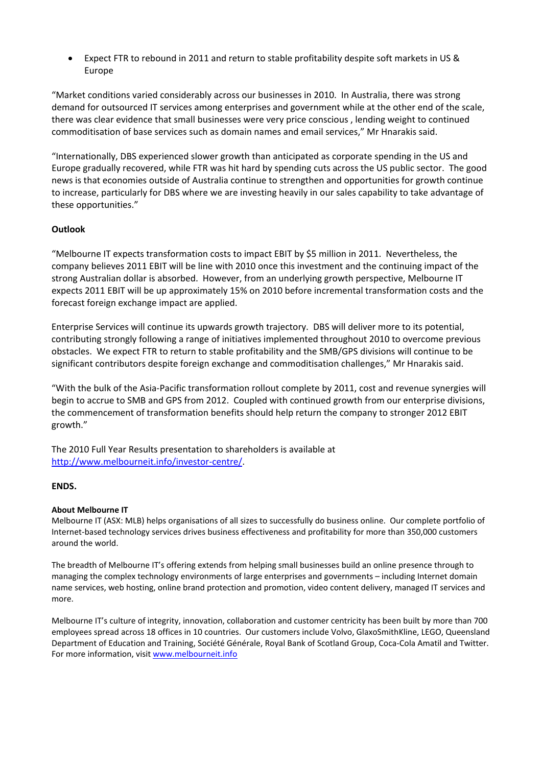• Expect FTR to rebound in 2011 and return to stable profitability despite soft markets in US & Europe

"Market conditions varied considerably across our businesses in 2010. In Australia, there was strong demand for outsourced IT services among enterprises and government while at the other end of the scale, there was clear evidence that small businesses were very price conscious , lending weight to continued commoditisation of base services such as domain names and email services," Mr Hnarakis said.

"Internationally, DBS experienced slower growth than anticipated as corporate spending in the US and Europe gradually recovered, while FTR was hit hard by spending cuts across the US public sector. The good news is that economies outside of Australia continue to strengthen and opportunities for growth continue to increase, particularly for DBS where we are investing heavily in our sales capability to take advantage of these opportunities."

# **Outlook**

"Melbourne IT expects transformation costs to impact EBIT by \$5 million in 2011. Nevertheless, the company believes 2011 EBIT will be line with 2010 once this investment and the continuing impact of the strong Australian dollar is absorbed. However, from an underlying growth perspective, Melbourne IT expects 2011 EBIT will be up approximately 15% on 2010 before incremental transformation costs and the forecast foreign exchange impact are applied.

Enterprise Services will continue its upwards growth trajectory. DBS will deliver more to its potential, contributing strongly following a range of initiatives implemented throughout 2010 to overcome previous obstacles. We expect FTR to return to stable profitability and the SMB/GPS divisions will continue to be significant contributors despite foreign exchange and commoditisation challenges," Mr Hnarakis said.

"With the bulk of the Asia-Pacific transformation rollout complete by 2011, cost and revenue synergies will begin to accrue to SMB and GPS from 2012. Coupled with continued growth from our enterprise divisions, the commencement of transformation benefits should help return the company to stronger 2012 EBIT growth."

The 2010 Full Year Results presentation to shareholders is available at [http://www.melbourneit.info/investor-centre/.](http://www.melbourneit.info/investor-centre/)

#### **ENDS.**

#### **About Melbourne IT**

Melbourne IT (ASX: MLB) helps organisations of all sizes to successfully do business online. Our complete portfolio of Internet-based technology services drives business effectiveness and profitability for more than 350,000 customers around the world.

The breadth of Melbourne IT's offering extends from helping small businesses build an online presence through to managing the complex technology environments of large enterprises and governments – including Internet domain name services, web hosting, online brand protection and promotion, video content delivery, managed IT services and more.

Melbourne IT's culture of integrity, innovation, collaboration and customer centricity has been built by more than 700 employees spread across 18 offices in 10 countries. Our customers include Volvo, GlaxoSmithKline, LEGO, Queensland Department of Education and Training, Société Générale, Royal Bank of Scotland Group, Coca-Cola Amatil and Twitter. For more information, visit [www.melbourneit.info](http://www.melbourneit.info/)